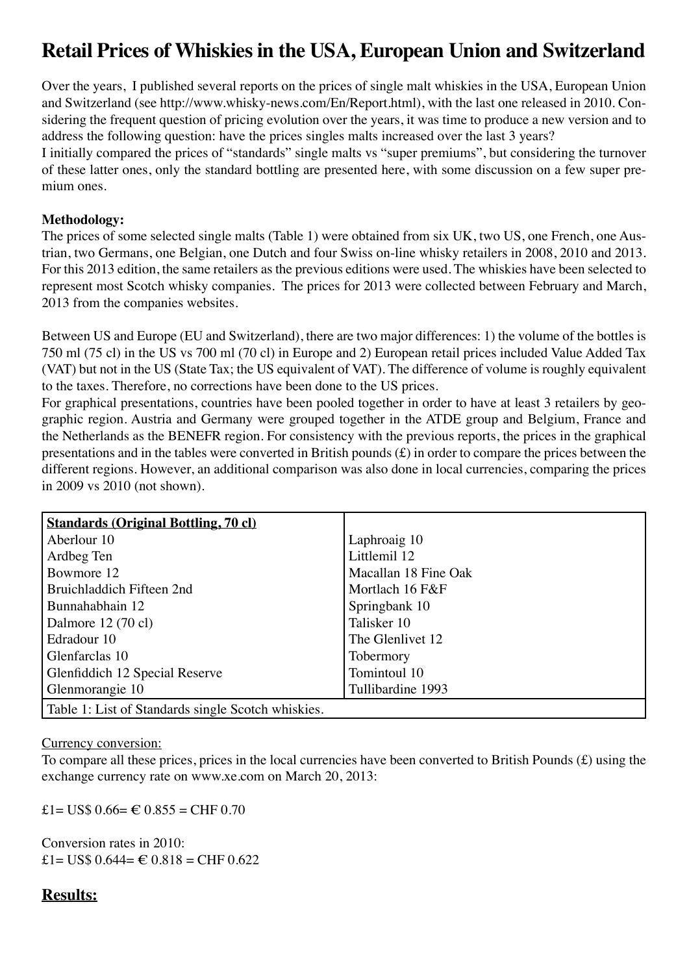# **Retail Prices of Whiskies in the USA, European Union and Switzerland**

Over the years, I published several reports on the prices of single malt whiskies in the USA, European Union and Switzerland (see http://www.whisky-news.com/En/Report.html), with the last one released in 2010. Considering the frequent question of pricing evolution over the years, it was time to produce a new version and to address the following question: have the prices singles malts increased over the last 3 years?

I initially compared the prices of "standards" single malts vs "super premiums", but considering the turnover of these latter ones, only the standard bottling are presented here, with some discussion on a few super premium ones.

## **Methodology:**

The prices of some selected single malts (Table 1) were obtained from six UK, two US, one French, one Austrian, two Germans, one Belgian, one Dutch and four Swiss on-line whisky retailers in 2008, 2010 and 2013. For this 2013 edition, the same retailers as the previous editions were used. The whiskies have been selected to represent most Scotch whisky companies. The prices for 2013 were collected between February and March, 2013 from the companies websites.

Between US and Europe (EU and Switzerland), there are two major differences: 1) the volume of the bottles is 750 ml (75 cl) in the US vs 700 ml (70 cl) in Europe and 2) European retail prices included Value Added Tax (VAT) but not in the US (State Tax; the US equivalent of VAT). The difference of volume is roughly equivalent to the taxes. Therefore, no corrections have been done to the US prices.

For graphical presentations, countries have been pooled together in order to have at least 3 retailers by geographic region. Austria and Germany were grouped together in the ATDE group and Belgium, France and the Netherlands as the BENEFR region. For consistency with the previous reports, the prices in the graphical presentations and in the tables were converted in British pounds (£) in order to compare the prices between the different regions. However, an additional comparison was also done in local currencies, comparing the prices in 2009 vs 2010 (not shown).

| <b>Standards (Original Bottling, 70 cl)</b>        |                      |  |
|----------------------------------------------------|----------------------|--|
| Aberlour 10                                        | Laphroaig 10         |  |
| Ardbeg Ten                                         | Littlemil 12         |  |
| Bowmore 12                                         | Macallan 18 Fine Oak |  |
| Bruichladdich Fifteen 2nd                          | Mortlach 16 F&F      |  |
| Bunnahabhain 12                                    | Springbank 10        |  |
| Dalmore $12(70 \text{ cl})$                        | Talisker 10          |  |
| Edradour 10                                        | The Glenlivet 12     |  |
| Glenfarclas 10                                     | Tobermory            |  |
| Glenfiddich 12 Special Reserve                     | Tomintoul 10         |  |
| Glenmorangie 10                                    | Tullibardine 1993    |  |
| Table 1: List of Standards single Scotch whiskies. |                      |  |

Currency conversion:

To compare all these prices, prices in the local currencies have been converted to British Pounds (£) using the exchange currency rate on www.xe.com on March 20, 2013:

£1= US\$  $0.66 = \text{\textsterling} 0.855 = \text{CHF } 0.70$ 

Conversion rates in 2010: £1= US\$  $0.644 = \text{\textsterling} 0.818 = \text{CHF } 0.622$ 

# **Results:**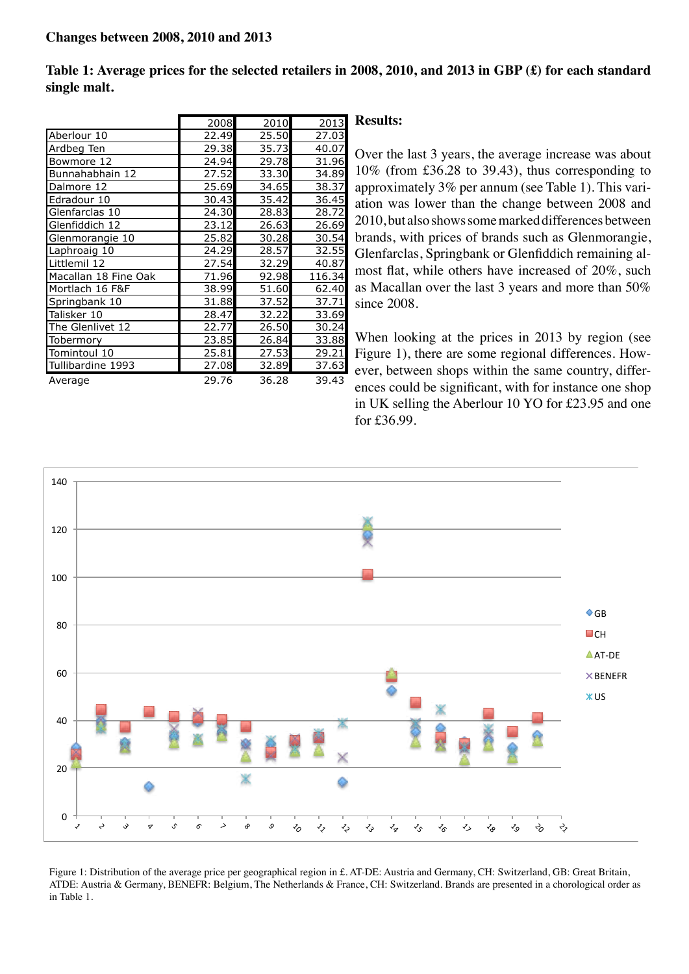**Table 1: Average prices for the selected retailers in 2008, 2010, and 2013 in GBP (£) for each standard single malt.**

|                      | 2008  | 2010  | 2013   |
|----------------------|-------|-------|--------|
| Aberlour 10          | 22.49 | 25.50 | 27.03  |
| Ardbeg Ten           | 29.38 | 35.73 | 40.07  |
| Bowmore 12           | 24.94 | 29.78 | 31.96  |
| Bunnahabhain 12      | 27.52 | 33.30 | 34.89  |
| Dalmore 12           | 25.69 | 34.65 | 38.37  |
| Edradour 10          | 30.43 | 35.42 | 36.45  |
| Glenfarclas 10       | 24.30 | 28.83 | 28.72  |
| Glenfiddich 12       | 23.12 | 26.63 | 26.69  |
| Glenmorangie 10      | 25.82 | 30.28 | 30.54  |
| Laphroaig 10         | 24.29 | 28.57 | 32.55  |
| Littlemil 12         | 27.54 | 32.29 | 40.87  |
| Macallan 18 Fine Oak | 71.96 | 92.98 | 116.34 |
| Mortlach 16 F&F      | 38.99 | 51.60 | 62.40  |
| Springbank 10        | 31.88 | 37.52 | 37.71  |
| Talisker 10          | 28.47 | 32.22 | 33.69  |
| The Glenlivet 12     | 22.77 | 26.50 | 30.24  |
| Tobermory            | 23.85 | 26.84 | 33.88  |
| Tomintoul 10         | 25.81 | 27.53 | 29.21  |
| Tullibardine 1993    | 27.08 | 32.89 | 37.63  |
| Average              | 29.76 | 36.28 | 39.43  |

#### **Results:**

Over the last 3 years, the average increase was about 10% (from £36.28 to 39.43), thus corresponding to approximately 3% per annum (see Table 1). This variation was lower than the change between 2008 and 2010, but also shows some marked differences between brands, with prices of brands such as Glenmorangie, Glenfarclas, Springbank or Glenfiddich remaining almost flat, while others have increased of 20%, such as Macallan over the last 3 years and more than 50% since 2008.

When looking at the prices in 2013 by region (see Figure 1), there are some regional differences. However, between shops within the same country, differences could be significant, with for instance one shop in UK selling the Aberlour 10 YO for £23.95 and one for £36.99.



Figure 1: Distribution of the average price per geographical region in £. AT-DE: Austria and Germany, CH: Switzerland, GB: Great Britain, ATDE: Austria & Germany, BENEFR: Belgium, The Netherlands & France, CH: Switzerland. Brands are presented in a chorological order as in Table 1.